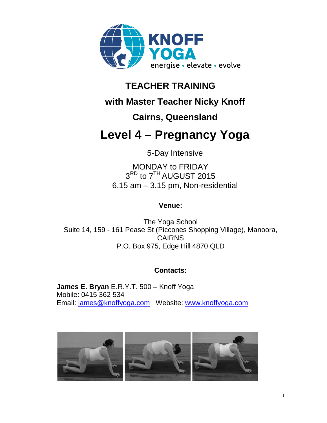

## **TEACHER TRAINING**

# **with Master Teacher Nicky Knoff**

# **Cairns, Queensland**

# **Level 4 – Pregnancy Yoga**

5-Day Intensive

MONDAY to FRIDAY 3<sup>RD</sup> to 7<sup>TH</sup> AUGUST 2015 6.15 am – 3.15 pm, Non-residential

### **Venue:**

The Yoga School Suite 14, 159 - 161 Pease St (Piccones Shopping Village), Manoora, CAIRNS P.O. Box 975, Edge Hill 4870 QLD

## **Contacts:**

**James E. Bryan** E.R.Y.T. 500 – Knoff Yoga Mobile: 0415 362 534 Email: james@knoffyoga.com Website: www.knoffyoga.com

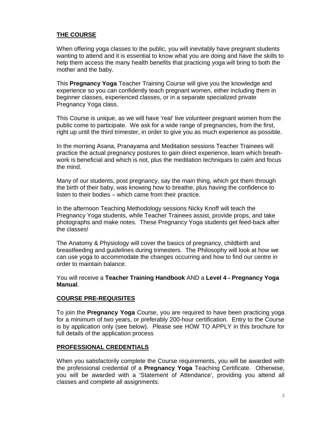#### **THE COURSE**

When offering yoga classes to the public, you will inevitably have pregnant students wanting to attend and it is essential to know what you are doing and have the skills to help them access the many health benefits that practicing yoga will bring to both the mother and the baby.

This **Pregnancy Yoga** Teacher Training Course will give you the knowledge and experience so you can confidently teach pregnant women, either including them in beginner classes, experienced classes, or in a separate specialized private Pregnancy Yoga class.

This Course is unique, as we will have 'real' live volunteer pregnant women from the public come to participate. We ask for a wide range of pregnancies, from the first, right up until the third trimester, in order to give you as much experience as possible.

In the morning Asana, Pranayama and Meditation sessions Teacher Trainees will practice the actual pregnancy postures to gain direct experience, learn which breathwork is beneficial and which is not, plus the meditation techniques to calm and focus the mind.

Many of our students, post pregnancy, say the main thing, which got them through the birth of their baby, was knowing how to breathe, plus having the confidence to listen to their bodies – which came from their practice.

In the afternoon Teaching Methodology sessions Nicky Knoff will teach the Pregnancy Yoga students, while Teacher Trainees assist, provide props, and take photographs and make notes. These Pregnancy Yoga students get feed-back after the classes!

The Anatomy & Physiology will cover the basics of pregnancy, childbirth and breastfeeding and guidelines during trimesters. The Philosophy will look at how we can use yoga to accommodate the changes occurring and how to find our centre in order to maintain balance.

You will receive a **Teacher Training Handbook** AND a **Level 4 - Pregnancy Yoga Manual**.

#### **COURSE PRE-REQUISITES**

To join the **Pregnancy Yoga** Course, you are required to have been practicing yoga for a minimum of two years, or preferably 200-hour certification. Entry to the Course is by application only (see below). Please see HOW TO APPLY in this brochure for full details of the application process

#### **PROFESSIONAL CREDENTIALS**

When you satisfactorily complete the Course requirements, you will be awarded with the professional credential of a **Pregnancy Yoga** Teaching Certificate. Otherwise, you will be awarded with a 'Statement of Attendance', providing you attend all classes and complete all assignments.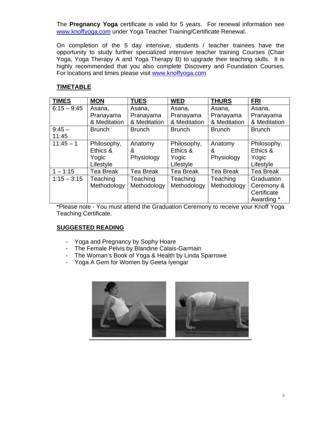The **Pregnancy Yoga** certificate is valid for 5 years. For renewal information see www.knoffyoga.com under Yoga Teacher Training/Certificate Renewal.

On completion of the 5 day intensive, students / teacher trainees have the opportunity to study further specialized intensive teacher training Courses (Chair Yoga, Yoga Therapy A and Yoga Therapy B) to upgrade their teaching skills. It is highly recommended that you also complete Discovery and Foundation Courses. For locations and times please visit www.knoffyoga.com

#### **TIMETABLE**

| <b>TIMES</b>  | <b>MON</b>       | <b>TUES</b>      | <b>WED</b>       | <b>THURS</b>     | <b>FRI</b>       |
|---------------|------------------|------------------|------------------|------------------|------------------|
| $6:15 - 9:45$ | Asana,           | Asana,           | Asana,           | Asana,           | Asana,           |
|               | Pranayama        | Pranayama        | Pranayama        | Pranayama        | Pranayama        |
|               | & Meditation     | & Meditation     | & Meditation     | & Meditation     | & Meditation     |
| $9:45 -$      | <b>Brunch</b>    | <b>Brunch</b>    | <b>Brunch</b>    | <b>Brunch</b>    | <b>Brunch</b>    |
| 11:45         |                  |                  |                  |                  |                  |
| $11:45 - 1$   | Philosophy,      | Anatomy          | Philosophy,      | Anatomy          | Philosophy,      |
|               | Ethics &         | &                | Ethics &         | &                | Ethics &         |
|               | Yogic            | Physiology       | Yogic            | Physiology       | Yogic            |
|               | Lifestyle        |                  | Lifestyle        |                  | Lifestyle        |
| $1 - 1:15$    | <b>Tea Break</b> | <b>Tea Break</b> | <b>Tea Break</b> | <b>Tea Break</b> | <b>Tea Break</b> |
| $1:15 - 3:15$ | Teaching         | Teaching         | Teaching         | Teaching         | Graduation       |
|               | Methodology      | Methodology      | Methodology      | Methodology      | Ceremony &       |
|               |                  |                  |                  |                  | Certificate      |
|               |                  |                  |                  |                  | Awarding *       |

\*Please note - You must attend the Graduation Ceremony to receive your Knoff Yoga Teaching Certificate.

#### **SUGGESTED READING**

- Yoga and Pregnancy by Sophy Hoare
- The Female Pelvis by Blandine Calais-Garmain
- The Woman's Book of Yoga & Health by Linda Sparrowe
- Yoga A Gem for Women by Geeta Iyengar

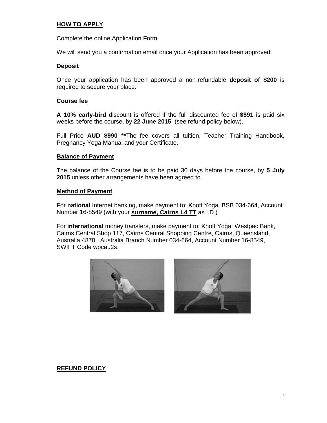#### **HOW TO APPLY**

Complete the online Application Form

We will send you a confirmation email once your Application has been approved.

#### **Deposit**

Once your application has been approved a non-refundable **deposit of \$200** is required to secure your place.

#### **Course fee**

**A 10% early-bird** discount is offered if the full discounted fee of **\$891** is paid six weeks before the course, by **22 June 2015** (see refund policy below).

Full Price **AUD \$990 \*\***The fee covers all tuition, Teacher Training Handbook, Pregnancy Yoga Manual and your Certificate.

#### **Balance of Payment**

The balance of the Course fee is to be paid 30 days before the course, by **5 July 2015** unless other arrangements have been agreed to.

#### **Method of Payment**

For **national** Internet banking, make payment to: Knoff Yoga, BSB 034-664, Account Number 16-8549 (with your **surname, Cairns L4 TT** as I.D.)

For **international** money transfers, make payment to: Knoff Yoga: Westpac Bank, Cairns Central Shop 117, Cairns Central Shopping Centre, Cairns, Queensland, Australia 4870. Australia Branch Number 034-664, Account Number 16-8549, SWIFT Code wpcau2s.





#### **REFUND POLICY**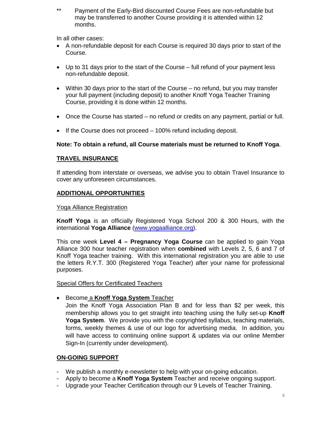\*\* Payment of the Early-Bird discounted Course Fees are non-refundable but may be transferred to another Course providing it is attended within 12 months.

In all other cases:

- A non-refundable deposit for each Course is required 30 days prior to start of the Course.
- Up to 31 days prior to the start of the Course full refund of your payment less non-refundable deposit.
- Within 30 days prior to the start of the Course no refund, but you may transfer your full payment (including deposit) to another Knoff Yoga Teacher Training Course, providing it is done within 12 months.
- Once the Course has started no refund or credits on any payment, partial or full.
- $\bullet$  If the Course does not proceed  $-100\%$  refund including deposit.

#### **Note: To obtain a refund, all Course materials must be returned to Knoff Yoga**.

#### **TRAVEL INSURANCE**

If attending from interstate or overseas, we advise you to obtain Travel Insurance to cover any unforeseen circumstances.

#### **ADDITIONAL OPPORTUNITIES**

#### Yoga Alliance Registration

**Knoff Yoga** is an officially Registered Yoga School 200 & 300 Hours, with the international **Yoga Alliance** (www.yogaalliance.org).

This one week **Level 4 – Pregnancy Yoga Course** can be applied to gain Yoga Alliance 300 hour teacher registration when **combined** with Levels 2, 5, 6 and 7 of Knoff Yoga teacher training. With this international registration you are able to use the letters R.Y.T. 300 (Registered Yoga Teacher) after your name for professional purposes.

Special Offers for Certificated Teachers

**Become a Knoff Yoga System Teacher** 

Join the Knoff Yoga Association Plan B and for less than \$2 per week, this membership allows you to get straight into teaching using the fully set-up **Knoff Yoga System**. We provide you with the copyrighted syllabus, teaching materials, forms, weekly themes & use of our logo for advertising media. In addition, you will have access to continuing online support & updates via our online Member Sign-In (currently under development).

#### **ON-GOING SUPPORT**

- We publish a monthly e-newsletter to help with your on-going education.
- Apply to become a **Knoff Yoga System** Teacher and receive ongoing support.
- Upgrade your Teacher Certification through our 9 Levels of Teacher Training.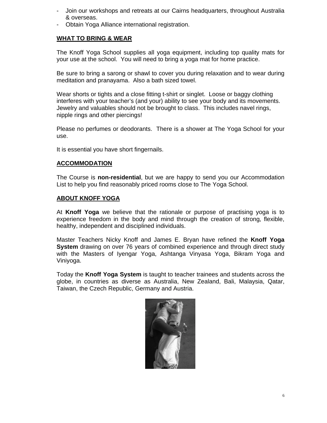- Join our workshops and retreats at our Cairns headquarters, throughout Australia & overseas.
- Obtain Yoga Alliance international registration.

#### **WHAT TO BRING & WEAR**

The Knoff Yoga School supplies all yoga equipment, including top quality mats for your use at the school. You will need to bring a yoga mat for home practice.

Be sure to bring a sarong or shawl to cover you during relaxation and to wear during meditation and pranayama. Also a bath sized towel.

Wear shorts or tights and a close fitting t-shirt or singlet. Loose or baggy clothing interferes with your teacher's (and your) ability to see your body and its movements. Jewelry and valuables should not be brought to class. This includes navel rings, nipple rings and other piercings!

Please no perfumes or deodorants. There is a shower at The Yoga School for your use.

It is essential you have short fingernails.

#### **ACCOMMODATION**

The Course is **non-residential**, but we are happy to send you our Accommodation List to help you find reasonably priced rooms close to The Yoga School.

#### **ABOUT KNOFF YOGA**

At **Knoff Yoga** we believe that the rationale or purpose of practising yoga is to experience freedom in the body and mind through the creation of strong, flexible, healthy, independent and disciplined individuals.

Master Teachers Nicky Knoff and James E. Bryan have refined the **Knoff Yoga System** drawing on over 76 years of combined experience and through direct study with the Masters of Iyengar Yoga, Ashtanga Vinyasa Yoga, Bikram Yoga and Viniyoga.

Today the **Knoff Yoga System** is taught to teacher trainees and students across the globe, in countries as diverse as Australia, New Zealand, Bali, Malaysia, Qatar, Taiwan, the Czech Republic, Germany and Austria.

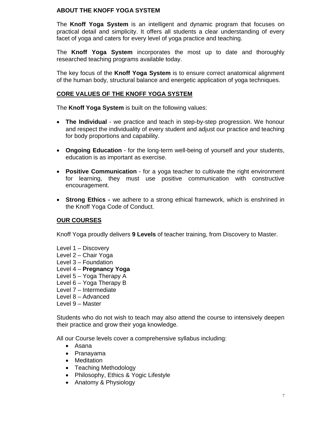#### **ABOUT THE KNOFF YOGA SYSTEM**

The **Knoff Yoga System** is an intelligent and dynamic program that focuses on practical detail and simplicity. It offers all students a clear understanding of every facet of yoga and caters for every level of yoga practice and teaching.

The **Knoff Yoga System** incorporates the most up to date and thoroughly researched teaching programs available today.

The key focus of the **Knoff Yoga System** is to ensure correct anatomical alignment of the human body, structural balance and energetic application of yoga techniques.

#### **CORE VALUES OF THE KNOFF YOGA SYSTEM**

The **Knoff Yoga System** is built on the following values:

- **The Individual** we practice and teach in step-by-step progression. We honour and respect the individuality of every student and adjust our practice and teaching for body proportions and capability.
- **Ongoing Education** for the long-term well-being of yourself and your students, education is as important as exercise.
- **Positive Communication** for a yoga teacher to cultivate the right environment for learning, they must use positive communication with constructive encouragement.
- **Strong Ethics -** we adhere to a strong ethical framework, which is enshrined in the Knoff Yoga Code of Conduct.

#### **OUR COURSES**

Knoff Yoga proudly delivers **9 Levels** of teacher training, from Discovery to Master.

- Level 1 Discovery
- Level 2 Chair Yoga
- Level 3 Foundation
- Level 4 **Pregnancy Yoga**
- Level 5 Yoga Therapy A
- Level 6 Yoga Therapy B
- Level 7 Intermediate
- Level 8 Advanced
- Level 9 Master

Students who do not wish to teach may also attend the course to intensively deepen their practice and grow their yoga knowledge.

All our Course levels cover a comprehensive syllabus including:

- Asana
- Pranayama
- Meditation
- Teaching Methodology
- Philosophy, Ethics & Yogic Lifestyle
- Anatomy & Physiology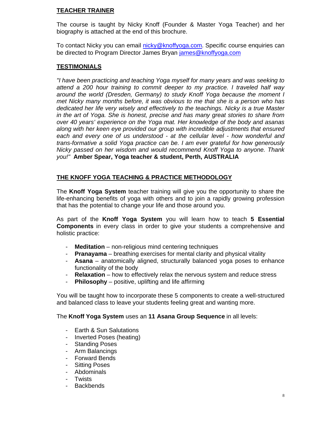#### **TEACHER TRAINER**

The course is taught by Nicky Knoff (Founder & Master Yoga Teacher) and her biography is attached at the end of this brochure.

To contact Nicky you can email nicky@knoffyoga.com. Specific course enquiries can be directed to Program Director James Bryan james@knoffyoga.com

#### **TESTIMONIALS**

*"I have been practicing and teaching Yoga myself for many years and was seeking to attend a 200 hour training to commit deeper to my practice. I traveled half way around the world (Dresden, Germany) to study Knoff Yoga because the moment I met Nicky many months before, it was obvious to me that she is a person who has dedicated her life very wisely and effectively to the teachings. Nicky is a true Master in the art of Yoga. She is honest, precise and has many great stories to share from over 40 years' experience on the Yoga mat. Her knowledge of the body and asanas along with her keen eye provided our group with incredible adjustments that ensured each and every one of us understood - at the cellular level - how wonderful and trans-formative a solid Yoga practice can be. I am ever grateful for how generously Nicky passed on her wisdom and would recommend Knoff Yoga to anyone. Thank you!"* **Amber Spear, Yoga teacher & student, Perth, AUSTRALIA**

#### **THE KNOFF YOGA TEACHING & PRACTICE METHODOLOGY**

The **Knoff Yoga System** teacher training will give you the opportunity to share the life-enhancing benefits of yoga with others and to join a rapidly growing profession that has the potential to change your life and those around you.

As part of the **Knoff Yoga System** you will learn how to teach **5 Essential Components** in every class in order to give your students a comprehensive and holistic practice:

- **Meditation** non-religious mind centering techniques
- **Pranayama** breathing exercises for mental clarity and physical vitality
- **Asana** anatomically aligned, structurally balanced yoga poses to enhance functionality of the body
- **Relaxation** how to effectively relax the nervous system and reduce stress
- **Philosophy** positive, uplifting and life affirming

You will be taught how to incorporate these 5 components to create a well-structured and balanced class to leave your students feeling great and wanting more.

The **Knoff Yoga System** uses an **11 Asana Group Sequence** in all levels:

- Earth & Sun Salutations
- Inverted Poses (heating)
- Standing Poses
- Arm Balancings
- Forward Bends
- Sitting Poses
- Abdominals
- Twists
- Backbends